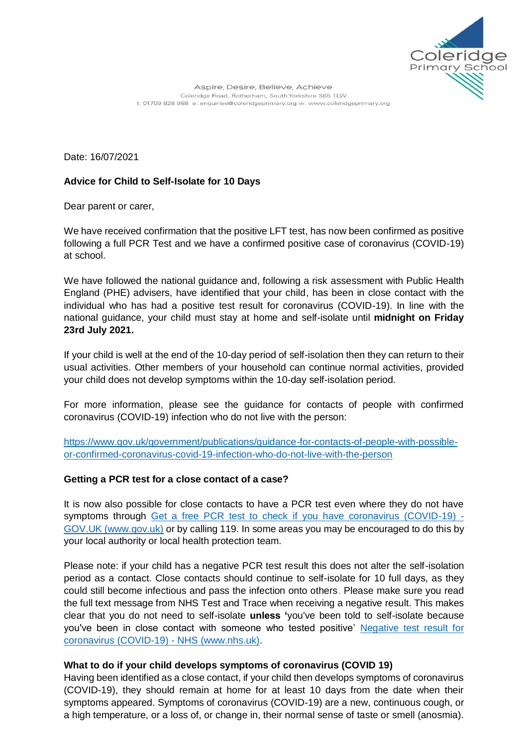

Date: 16/07/2021

## **Advice for Child to Self-Isolate for 10 Days**

Dear parent or carer,

We have received confirmation that the positive LFT test, has now been confirmed as positive following a full PCR Test and we have a confirmed positive case of coronavirus (COVID-19) at school.

We have followed the national guidance and, following a risk assessment with Public Health England (PHE) advisers, have identified that your child, has been in close contact with the individual who has had a positive test result for coronavirus (COVID-19). In line with the national guidance, your child must stay at home and self-isolate until **midnight on Friday 23rd July 2021.**

If your child is well at the end of the 10-day period of self-isolation then they can return to their usual activities. Other members of your household can continue normal activities, provided your child does not develop symptoms within the 10-day self-isolation period.

For more information, please see the guidance for contacts of people with confirmed coronavirus (COVID-19) infection who do not live with the person:

[https://www.gov.uk/government/publications/guidance-for-contacts-of-people-with-possible](https://www.gov.uk/government/publications/guidance-for-contacts-of-people-with-possible-or-confirmed-coronavirus-covid-19-infection-who-do-not-live-with-the-person)[or-confirmed-coronavirus-covid-19-infection-who-do-not-live-with-the-person](https://www.gov.uk/government/publications/guidance-for-contacts-of-people-with-possible-or-confirmed-coronavirus-covid-19-infection-who-do-not-live-with-the-person)

## **Getting a PCR test for a close contact of a case?**

It is now also possible for close contacts to have a PCR test even where they do not have symptoms through [Get a free PCR test to check if you have coronavirus \(COVID-19\) -](https://www.gov.uk/get-coronavirus-test?priority-taxon=774cee22-d896-44c1-a611-e3109cce8eae) [GOV.UK \(www.gov.uk\)](https://www.gov.uk/get-coronavirus-test?priority-taxon=774cee22-d896-44c1-a611-e3109cce8eae) or by calling 119. In some areas you may be encouraged to do this by your local authority or local health protection team.

Please note: if your child has a negative PCR test result this does not alter the self-isolation period as a contact. Close contacts should continue to self-isolate for 10 full days, as they could still become infectious and pass the infection onto others. Please make sure you read the full text message from NHS Test and Trace when receiving a negative result. This makes clear that you do not need to self-isolate **unless '**you've been told to self-isolate because you've been in close contact with someone who tested positive' [Negative test result for](https://www.nhs.uk/conditions/coronavirus-covid-19/testing/test-results/negative-test-result/)  [coronavirus \(COVID-19\) -](https://www.nhs.uk/conditions/coronavirus-covid-19/testing/test-results/negative-test-result/) NHS (www.nhs.uk).

### **What to do if your child develops symptoms of coronavirus (COVID 19)**

Having been identified as a close contact, if your child then develops symptoms of coronavirus (COVID-19), they should remain at home for at least 10 days from the date when their symptoms appeared. Symptoms of coronavirus (COVID-19) are a new, continuous cough, or a high temperature, or a loss of, or change in, their normal sense of taste or smell (anosmia).